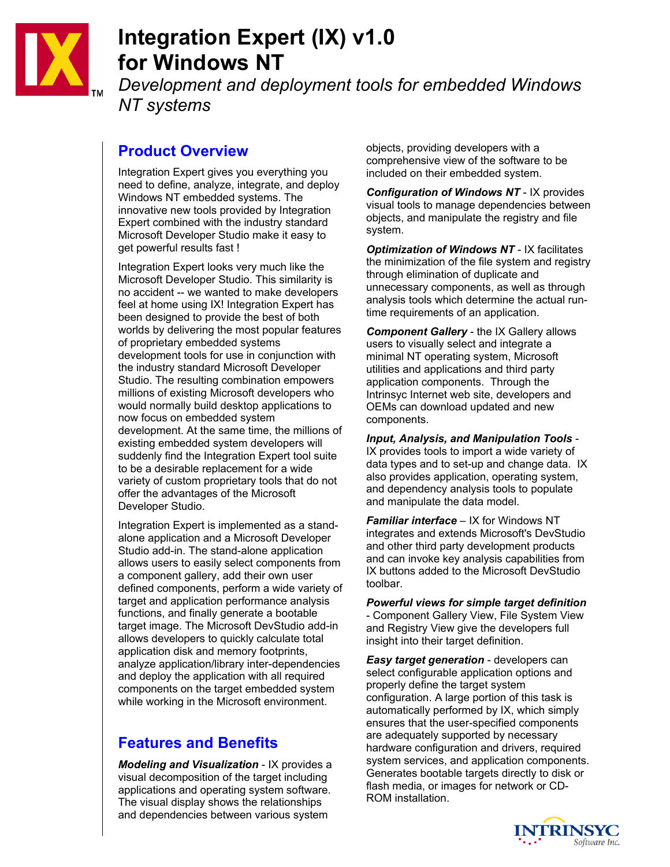

# **Integration Expert (IX) v1.0 for Windows NT**

*Development and deployment tools for embedded Windows NT systems* 

### **Product Overview**

Integration Expert gives you everything you need to define, analyze, integrate, and deploy Windows NT embedded systems. The innovative new tools provided by Integration Expert combined with the industry standard Microsoft Developer Studio make it easy to get powerful results fast !

Integration Expert looks very much like the Microsoft Developer Studio. This similarity is no accident -- we wanted to make developers feel at home using IX! Integration Expert has been designed to provide the best of both worlds by delivering the most popular features of proprietary embedded systems development tools for use in conjunction with the industry standard Microsoft Developer Studio. The resulting combination empowers millions of existing Microsoft developers who would normally build desktop applications to now focus on embedded system development. At the same time, the millions of existing embedded system developers will suddenly find the Integration Expert tool suite to be a desirable replacement for a wide variety of custom proprietary tools that do not offer the advantages of the Microsoft Developer Studio.

Integration Expert is implemented as a standalone application and a Microsoft Developer Studio add-in. The stand-alone application allows users to easily select components from a component gallery, add their own user defined components, perform a wide variety of target and application performance analysis functions, and finally generate a bootable target image. The Microsoft DevStudio add-in allows developers to quickly calculate total application disk and memory footprints, analyze application/library inter-dependencies and deploy the application with all required components on the target embedded system while working in the Microsoft environment.

## **Features and Benefits**

*Modeling and Visualization* - IX provides a visual decomposition of the target including applications and operating system software. The visual display shows the relationships and dependencies between various system

objects, providing developers with a comprehensive view of the software to be included on their embedded system.

*Configuration of Windows NT* - IX provides visual tools to manage dependencies between objects, and manipulate the registry and file system.

*Optimization of Windows NT* - IX facilitates the minimization of the file system and registry through elimination of duplicate and unnecessary components, as well as through analysis tools which determine the actual runtime requirements of an application.

*Component Gallery* - the IX Gallery allows users to visually select and integrate a minimal NT operating system, Microsoft utilities and applications and third party application components. Through the Intrinsyc Internet web site, developers and OEMs can download updated and new components.

*Input, Analysis, and Manipulation Tools* - IX provides tools to import a wide variety of data types and to set-up and change data. IX also provides application, operating system, and dependency analysis tools to populate and manipulate the data model.

*Familiar interface* – IX for Windows NT integrates and extends Microsoft's DevStudio and other third party development products and can invoke key analysis capabilities from IX buttons added to the Microsoft DevStudio toolbar.

*Powerful views for simple target definition* - Component Gallery View, File System View and Registry View give the developers full insight into their target definition.

*Easy target generation* - developers can select configurable application options and properly define the target system configuration. A large portion of this task is automatically performed by IX, which simply ensures that the user-specified components are adequately supported by necessary hardware configuration and drivers, required system services, and application components. Generates bootable targets directly to disk or flash media, or images for network or CD-ROM installation.